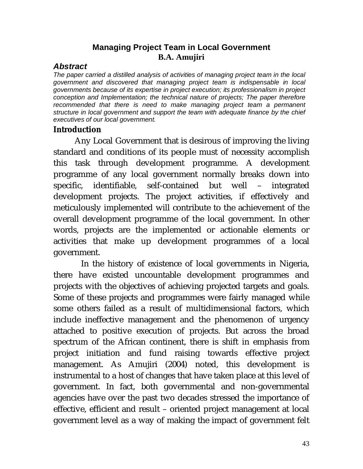#### **Managing Project Team in Local Government B.A. Amujiri**

#### *Abstract*

*The paper carried a distilled analysis of activities of managing project team in the local government and discovered that managing project team is indispensable in local governments because of its expertise in project execution; its professionalism in project conception and Implementation; the technical nature of projects; The paper therefore*  recommended that there is need to make managing project team a permanent *structure in local government and support the team with adequate finance by the chief executives of our local government.* 

#### **Introduction**

Any Local Government that is desirous of improving the living standard and conditions of its people must of necessity accomplish this task through development programme. A development programme of any local government normally breaks down into specific, identifiable, self-contained but well – integrated development projects. The project activities, if effectively and meticulously implemented will contribute to the achievement of the overall development programme of the local government. In other words, projects are the implemented or actionable elements or activities that make up development programmes of a local government.

 In the history of existence of local governments in Nigeria, there have existed uncountable development programmes and projects with the objectives of achieving projected targets and goals. Some of these projects and programmes were fairly managed while some others failed as a result of multidimensional factors, which include ineffective management and the phenomenon of urgency attached to positive execution of projects. But across the broad spectrum of the African continent, there is shift in emphasis from project initiation and fund raising towards effective project management. As Amujiri (2004) noted, this development is instrumental to a host of changes that have taken place at this level of government. In fact, both governmental and non-governmental agencies have over the past two decades stressed the importance of effective, efficient and result – oriented project management at local government level as a way of making the impact of government felt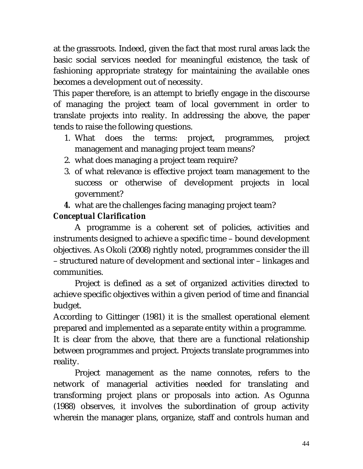at the grassroots. Indeed, given the fact that most rural areas lack the basic social services needed for meaningful existence, the task of fashioning appropriate strategy for maintaining the available ones becomes a development out of necessity.

This paper therefore, is an attempt to briefly engage in the discourse of managing the project team of local government in order to translate projects into reality. In addressing the above, the paper tends to raise the following questions.

- 1. What does the terms: project, programmes, project management and managing project team means?
- 2. what does managing a project team require?
- 3. of what relevance is effective project team management to the success or otherwise of development projects in local government?
- *4.* what are the challenges facing managing project team?

# *Conceptual Clarification*

A programme is a coherent set of policies, activities and instruments designed to achieve a specific time – bound development objectives. As Okoli (2008) rightly noted, programmes consider the ill – structured nature of development and sectional inter – linkages and communities.

Project is defined as a set of organized activities directed to achieve specific objectives within a given period of time and financial budget.

According to Gittinger (1981) it is the smallest operational element prepared and implemented as a separate entity within a programme.

It is clear from the above, that there are a functional relationship between programmes and project. Projects translate programmes into reality.

Project management as the name connotes, refers to the network of managerial activities needed for translating and transforming project plans or proposals into action. As Ogunna (1988) observes, it involves the subordination of group activity wherein the manager plans, organize, staff and controls human and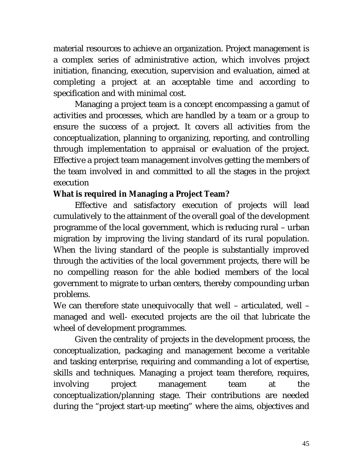material resources to achieve an organization. Project management is a complex series of administrative action, which involves project initiation, financing, execution, supervision and evaluation, aimed at completing a project at an acceptable time and according to specification and with minimal cost.

Managing a project team is a concept encompassing a gamut of activities and processes, which are handled by a team or a group to ensure the success of a project. It covers all activities from the conceptualization, planning to organizing, reporting, and controlling through implementation to appraisal or evaluation of the project. Effective a project team management involves getting the members of the team involved in and committed to all the stages in the project execution

### **What is required in Managing a Project Team?**

Effective and satisfactory execution of projects will lead cumulatively to the attainment of the overall goal of the development programme of the local government, which is reducing rural – urban migration by improving the living standard of its rural population. When the living standard of the people is substantially improved through the activities of the local government projects, there will be no compelling reason for the able bodied members of the local government to migrate to urban centers, thereby compounding urban problems.

We can therefore state unequivocally that well – articulated, well – managed and well- executed projects are the oil that lubricate the wheel of development programmes.

Given the centrality of projects in the development process, the conceptualization, packaging and management become a veritable and tasking enterprise, requiring and commanding a lot of expertise, skills and techniques. Managing a project team therefore, requires, involving project management team at the conceptualization/planning stage. Their contributions are needed during the "project start-up meeting" where the aims, objectives and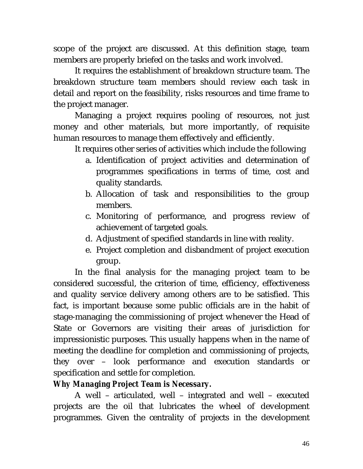scope of the project are discussed. At this definition stage, team members are properly briefed on the tasks and work involved.

It requires the establishment of breakdown structure team. The breakdown structure team members should review each task in detail and report on the feasibility, risks resources and time frame to the project manager.

Managing a project requires pooling of resources, not just money and other materials, but more importantly, of requisite human resources to manage them effectively and efficiently.

It requires other series of activities which include the following

- a. Identification of project activities and determination of programmes specifications in terms of time, cost and quality standards.
- b. Allocation of task and responsibilities to the group members.
- c. Monitoring of performance, and progress review of achievement of targeted goals.
- d. Adjustment of specified standards in line with reality.
- e. Project completion and disbandment of project execution group.

In the final analysis for the managing project team to be considered successful, the criterion of time, efficiency, effectiveness and quality service delivery among others are to be satisfied. This fact, is important because some public officials are in the habit of stage-managing the commissioning of project whenever the Head of State or Governors are visiting their areas of jurisdiction for impressionistic purposes. This usually happens when in the name of meeting the deadline for completion and commissioning of projects, they over – look performance and execution standards or specification and settle for completion.

## *Why Managing Project Team is Necessary.*

A well – articulated, well – integrated and well – executed projects are the oil that lubricates the wheel of development programmes. Given the centrality of projects in the development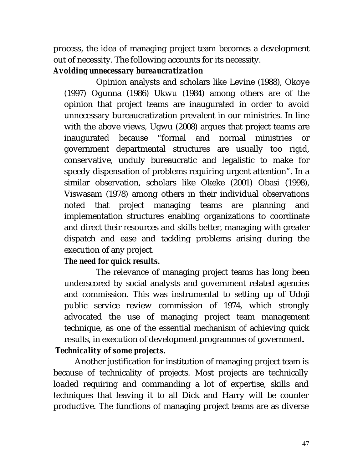process, the idea of managing project team becomes a development out of necessity. The following accounts for its necessity.

#### *Avoiding unnecessary bureaucratization*

Opinion analysts and scholars like Levine (1988), Okoye (1997) Ogunna (1986) Ukwu (1984) among others are of the opinion that project teams are inaugurated in order to avoid unnecessary bureaucratization prevalent in our ministries. In line with the above views, Ugwu (2008) argues that project teams are inaugurated because "formal and normal ministries or government departmental structures are usually too rigid, conservative, unduly bureaucratic and legalistic to make for speedy dispensation of problems requiring urgent attention". In a similar observation, scholars like Okeke (2001) Obasi (1998), Viswasam (1978) among others in their individual observations noted that project managing teams are planning and implementation structures enabling organizations to coordinate and direct their resources and skills better, managing with greater dispatch and ease and tackling problems arising during the execution of any project.

### *The need for quick results.*

The relevance of managing project teams has long been underscored by social analysts and government related agencies and commission. This was instrumental to setting up of Udoji public service review commission of 1974, which strongly advocated the use of managing project team management technique, as one of the essential mechanism of achieving quick results, in execution of development programmes of government.

## *Technicality of some projects.*

Another justification for institution of managing project team is because of technicality of projects. Most projects are technically loaded requiring and commanding a lot of expertise, skills and techniques that leaving it to all Dick and Harry will be counter productive. The functions of managing project teams are as diverse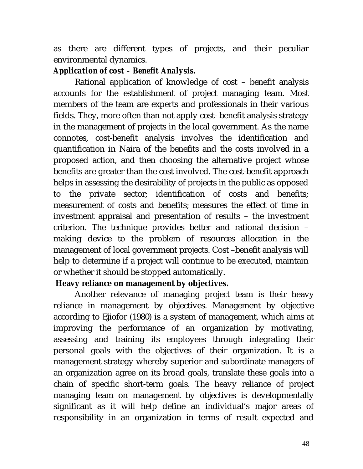as there are different types of projects, and their peculiar environmental dynamics.

#### *Application of cost – Benefit Analysis.*

Rational application of knowledge of cost – benefit analysis accounts for the establishment of project managing team. Most members of the team are experts and professionals in their various fields. They, more often than not apply cost- benefit analysis strategy in the management of projects in the local government. As the name connotes, cost-benefit analysis involves the identification and quantification in Naira of the benefits and the costs involved in a proposed action, and then choosing the alternative project whose benefits are greater than the cost involved. The cost-benefit approach helps in assessing the desirability of projects in the public as opposed to the private sector; identification of costs and benefits; measurement of costs and benefits; measures the effect of time in investment appraisal and presentation of results – the investment criterion. The technique provides better and rational decision – making device to the problem of resources allocation in the management of local government projects. Cost –benefit analysis will help to determine if a project will continue to be executed, maintain or whether it should be stopped automatically.

#### **Heavy reliance on management by objectives.**

Another relevance of managing project team is their heavy reliance in management by objectives. Management by objective according to Ejiofor (1980) is a system of management, which aims at improving the performance of an organization by motivating, assessing and training its employees through integrating their personal goals with the objectives of their organization. It is a management strategy whereby superior and subordinate managers of an organization agree on its broad goals, translate these goals into a chain of specific short-term goals. The heavy reliance of project managing team on management by objectives is developmentally significant as it will help define an individual's major areas of responsibility in an organization in terms of result expected and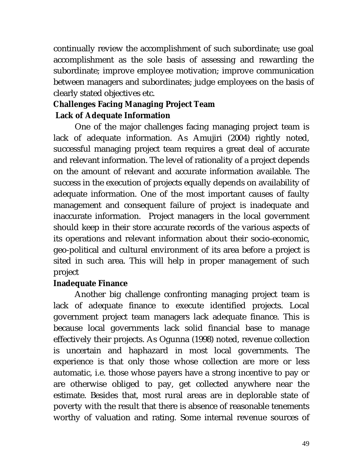continually review the accomplishment of such subordinate; use goal accomplishment as the sole basis of assessing and rewarding the subordinate; improve employee motivation; improve communication between managers and subordinates; judge employees on the basis of clearly stated objectives etc.

# **Challenges Facing Managing Project Team Lack of Adequate Information**

One of the major challenges facing managing project team is lack of adequate information. As Amujiri (2004) rightly noted, successful managing project team requires a great deal of accurate and relevant information. The level of rationality of a project depends on the amount of relevant and accurate information available. The success in the execution of projects equally depends on availability of adequate information. One of the most important causes of faulty management and consequent failure of project is inadequate and inaccurate information. Project managers in the local government should keep in their store accurate records of the various aspects of its operations and relevant information about their socio-economic, geo-political and cultural environment of its area before a project is sited in such area. This will help in proper management of such project

### **Inadequate Finance**

Another big challenge confronting managing project team is lack of adequate finance to execute identified projects. Local government project team managers lack adequate finance. This is because local governments lack solid financial base to manage effectively their projects. As Ogunna (1998) noted, revenue collection is uncertain and haphazard in most local governments. The experience is that only those whose collection are more or less automatic, i.e. those whose payers have a strong incentive to pay or are otherwise obliged to pay, get collected anywhere near the estimate. Besides that, most rural areas are in deplorable state of poverty with the result that there is absence of reasonable tenements worthy of valuation and rating. Some internal revenue sources of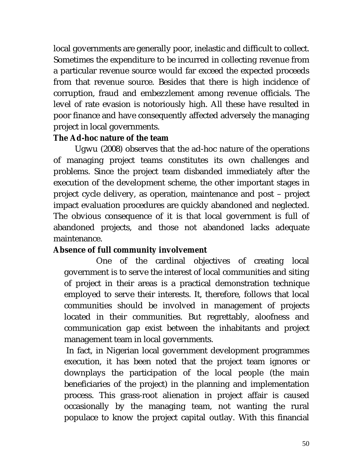local governments are generally poor, inelastic and difficult to collect. Sometimes the expenditure to be incurred in collecting revenue from a particular revenue source would far exceed the expected proceeds from that revenue source. Besides that there is high incidence of corruption, fraud and embezzlement among revenue officials. The level of rate evasion is notoriously high. All these have resulted in poor finance and have consequently affected adversely the managing project in local governments.

#### **The Ad-hoc nature of the team**

Ugwu (2008) observes that the ad-hoc nature of the operations of managing project teams constitutes its own challenges and problems. Since the project team disbanded immediately after the execution of the development scheme, the other important stages in project cycle delivery, as operation, maintenance and post – project impact evaluation procedures are quickly abandoned and neglected. The obvious consequence of it is that local government is full of abandoned projects, and those not abandoned lacks adequate maintenance.

### **Absence of full community involvement**

One of the cardinal objectives of creating local government is to serve the interest of local communities and siting of project in their areas is a practical demonstration technique employed to serve their interests. It, therefore, follows that local communities should be involved in management of projects located in their communities. But regrettably, aloofness and communication gap exist between the inhabitants and project management team in local governments.

 In fact, in Nigerian local government development programmes execution, it has been noted that the project team ignores or downplays the participation of the local people (the main beneficiaries of the project) in the planning and implementation process. This grass-root alienation in project affair is caused occasionally by the managing team, not wanting the rural populace to know the project capital outlay. With this financial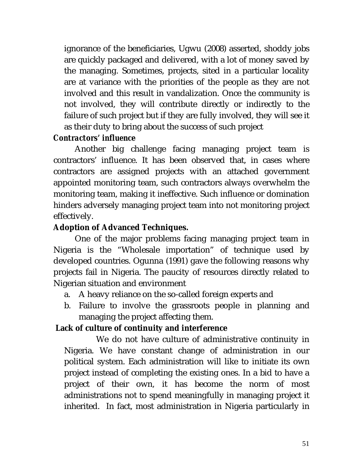ignorance of the beneficiaries, Ugwu (2008) asserted, shoddy jobs are quickly packaged and delivered, with a lot of money saved by the managing. Sometimes, projects, sited in a particular locality are at variance with the priorities of the people as they are not involved and this result in vandalization. Once the community is not involved, they will contribute directly or indirectly to the failure of such project but if they are fully involved, they will see it as their duty to bring about the success of such project

### *Contractors' influence*

Another big challenge facing managing project team is contractors' influence. It has been observed that, in cases where contractors are assigned projects with an attached government appointed monitoring team, such contractors always overwhelm the monitoring team, making it ineffective. Such influence or domination hinders adversely managing project team into not monitoring project effectively.

### **Adoption of Advanced Techniques.**

One of the major problems facing managing project team in Nigeria is the "Wholesale importation" of technique used by developed countries. Ogunna (1991) gave the following reasons why projects fail in Nigeria. The paucity of resources directly related to Nigerian situation and environment

- a. A heavy reliance on the so-called foreign experts and
- b. Failure to involve the grassroots people in planning and managing the project affecting them.

### **Lack of culture of continuity and interference**

We do not have culture of administrative continuity in Nigeria. We have constant change of administration in our political system. Each administration will like to initiate its own project instead of completing the existing ones. In a bid to have a project of their own, it has become the norm of most administrations not to spend meaningfully in managing project it inherited. In fact, most administration in Nigeria particularly in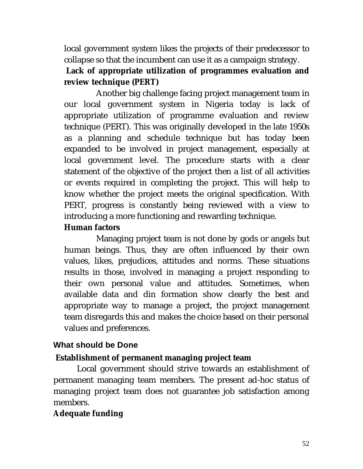local government system likes the projects of their predecessor to collapse so that the incumbent can use it as a campaign strategy.

## **Lack of appropriate utilization of programmes evaluation and review technique (PERT)**

Another big challenge facing project management team in our local government system in Nigeria today is lack of appropriate utilization of programme evaluation and review technique (PERT). This was originally developed in the late 1950s as a planning and schedule technique but has today been expanded to be involved in project management, especially at local government level. The procedure starts with a clear statement of the objective of the project then a list of all activities or events required in completing the project. This will help to know whether the project meets the original specification. With PERT, progress is constantly being reviewed with a view to introducing a more functioning and rewarding technique.

## **Human factors**

Managing project team is not done by gods or angels but human beings. Thus, they are often influenced by their own values, likes, prejudices, attitudes and norms. These situations results in those, involved in managing a project responding to their own personal value and attitudes. Sometimes, when available data and din formation show clearly the best and appropriate way to manage a project, the project management team disregards this and makes the choice based on their personal values and preferences.

## **What should be Done**

## **Establishment of permanent managing project team**

 Local government should strive towards an establishment of permanent managing team members. The present ad-hoc status of managing project team does not guarantee job satisfaction among members.

## **Adequate funding**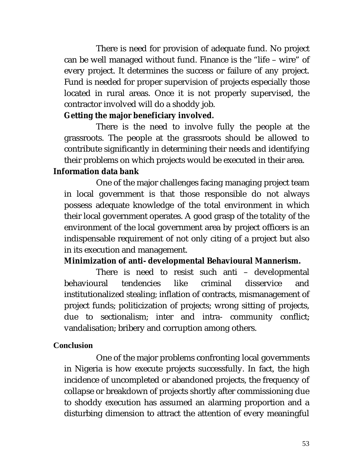There is need for provision of adequate fund. No project can be well managed without fund. Finance is the "life – wire" of every project. It determines the success or failure of any project. Fund is needed for proper supervision of projects especially those located in rural areas. Once it is not properly supervised, the contractor involved will do a shoddy job.

### **Getting the major beneficiary involved***.*

There is the need to involve fully the people at the grassroots. The people at the grassroots should be allowed to contribute significantly in determining their needs and identifying their problems on which projects would be executed in their area.

### **Information data bank**

One of the major challenges facing managing project team in local government is that those responsible do not always possess adequate knowledge of the total environment in which their local government operates. A good grasp of the totality of the environment of the local government area by project officers is an indispensable requirement of not only citing of a project but also in its execution and management.

## **Minimization of anti- developmental Behavioural Mannerism.**

There is need to resist such anti – developmental behavioural tendencies like criminal disservice and institutionalized stealing; inflation of contracts, mismanagement of project funds; politicization of projects; wrong sitting of projects, due to sectionalism; inter and intra- community conflict; vandalisation; bribery and corruption among others.

### **Conclusion**

One of the major problems confronting local governments in Nigeria is how execute projects successfully. In fact, the high incidence of uncompleted or abandoned projects, the frequency of collapse or breakdown of projects shortly after commissioning due to shoddy execution has assumed an alarming proportion and a disturbing dimension to attract the attention of every meaningful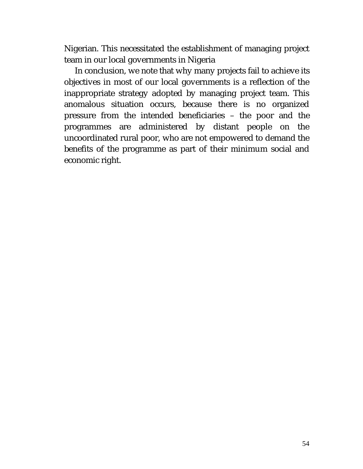Nigerian. This necessitated the establishment of managing project team in our local governments in Nigeria

In conclusion, we note that why many projects fail to achieve its objectives in most of our local governments is a reflection of the inappropriate strategy adopted by managing project team. This anomalous situation occurs, because there is no organized pressure from the intended beneficiaries – the poor and the programmes are administered by distant people on the uncoordinated rural poor, who are not empowered to demand the benefits of the programme as part of their minimum social and economic right.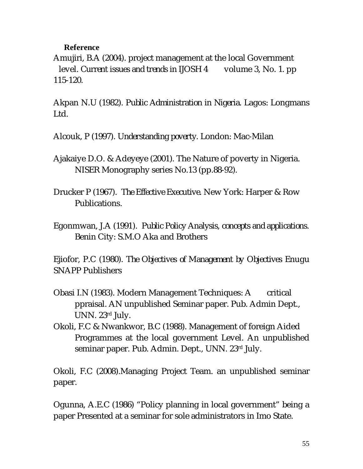#### **Reference**

Amujiri, B.A (2004). project management at the local Government level. *Current issues and trends in IJOSH 4* volume 3, No. 1. pp 115-120.

Akpan N.U (1982). *Public Administration in Nigeria*. Lagos: Longmans Ltd.

Alcouk, P (1997). *Understanding poverty*. London: Mac-Milan

Ajakaiye D.O. & Adeyeye (2001). The Nature of poverty in Nigeria. NISER Monography series No.13 (pp.88-92).

Drucker P (1967). *The Effective Executive.* New York: Harper & Row Publications.

Egonmwan, J.A (1991). *Public Policy Analysis, concepts and applications*. Benin City: S.M.O Aka and Brothers

Ejiofor, P.C (1980). *The Objectives of Management by* O*bjectives* Enugu SNAPP Publishers

- Obasi I.N (1983). Modern Management Techniques: A critical ppraisal. AN unpublished Seminar paper. Pub. Admin Dept., UNN. 23rd July.
- Okoli, F.C & Nwankwor, B.C (1988). Management of foreign Aided Programmes at the local government Level. An unpublished seminar paper. Pub. Admin. Dept., UNN. 23rd July.

Okoli, F.C (2008).Managing Project Team. an unpublished seminar paper.

Ogunna, A.E.C (1986) "Policy planning in local government" being a paper Presented at a seminar for sole administrators in Imo State.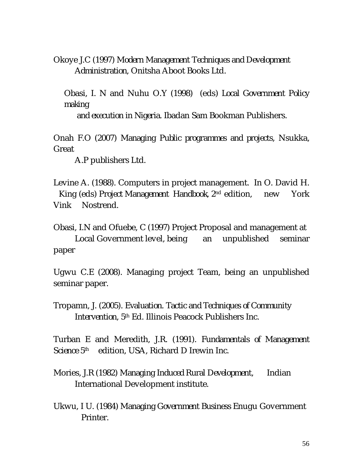Okoye J.C (1997) *Modern Management Techniques and Development Administration*, Onitsha Aboot Books Ltd.

Obasi, I. N and Nuhu O.Y (1998) (eds) *Local Government Policy making* 

 *and execution in Nigeria*. Ibadan Sam Bookman Publishers.

Onah F.O (2007) *Managing Public programmes and projects*, Nsukka, Great

A.P publishers Ltd.

Levine A. (1988). Computers in project management. In O. David H. King (eds) *Project Management Handbook*, 2nd edition, new York Vink Nostrend.

Obasi, I.N and Ofuebe, C (1997) Project Proposal and management at Local Government level, being an unpublished seminar paper

Ugwu C.E (2008). Managing project Team, being an unpublished seminar paper.

Tropamn, J. (2005). *Evaluation. Tactic and Techniques of Community Intervention*, 5th Ed. Illinois Peacock Publishers Inc.

Turban E and Meredith, J.R. (1991). *Fundamentals of Management Science* 5 edition, USA, Richard D Irewin Inc.

- Mories, J.R (1982) *Managing Induced Rural Development,* Indian International Development institute.
- Ukwu, I U. (1984) *Managing Government Business* Enugu Government Printer.